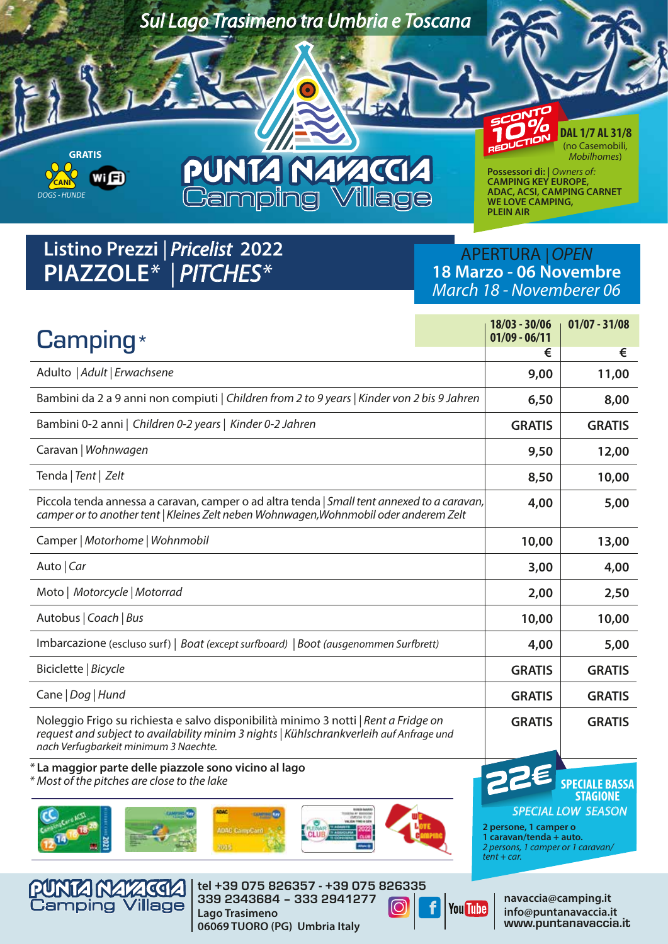

## **Listino Prezzi** *| Pricelist* **2022 PIAZZOLE***\***| PITCHES\**

### APERTURA *|OPEN* **18 Marzo - 06 Novembre** *March 18 - Novemberer 06*

www.puntanavaccia.it

| $Camping*$                                                                                                                                                                                                              |                 | $18/03 - 30/06$<br>$01/09 - 06/11$                                                                     | $01/07 - 31/08$           |
|-------------------------------------------------------------------------------------------------------------------------------------------------------------------------------------------------------------------------|-----------------|--------------------------------------------------------------------------------------------------------|---------------------------|
|                                                                                                                                                                                                                         |                 | €                                                                                                      | €                         |
| Adulto   Adult   Erwachsene                                                                                                                                                                                             |                 | 9,00                                                                                                   | 11,00                     |
| Bambini da 2 a 9 anni non compiuti   Children from 2 to 9 years   Kinder von 2 bis 9 Jahren                                                                                                                             |                 | 6,50                                                                                                   | 8,00                      |
| Bambini 0-2 anni   Children 0-2 years   Kinder 0-2 Jahren                                                                                                                                                               |                 | <b>GRATIS</b>                                                                                          | <b>GRATIS</b>             |
| Caravan   Wohnwagen                                                                                                                                                                                                     |                 | 9,50                                                                                                   | 12,00                     |
| Tenda   Tent   Zelt                                                                                                                                                                                                     |                 | 8,50                                                                                                   | 10,00                     |
| Piccola tenda annessa a caravan, camper o ad altra tenda   Small tent annexed to a caravan,<br>camper or to another tent   Kleines Zelt neben Wohnwagen, Wohnmobil oder anderem Zelt                                    |                 | 4,00                                                                                                   | 5,00                      |
| Camper   Motorhome   Wohnmobil                                                                                                                                                                                          |                 | 10,00                                                                                                  | 13,00                     |
| Auto   Car                                                                                                                                                                                                              |                 | 3,00                                                                                                   | 4,00                      |
| Moto   Motorcycle   Motorrad                                                                                                                                                                                            |                 | 2,00                                                                                                   | 2,50                      |
| Autobus   Coach   Bus                                                                                                                                                                                                   |                 | 10,00                                                                                                  | 10,00                     |
| Imbarcazione (escluso surf)   Boat (except surfboard)   Boot (ausgenommen Surfbrett)                                                                                                                                    |                 | 4,00                                                                                                   | 5,00                      |
| Biciclette   Bicycle                                                                                                                                                                                                    |                 | <b>GRATIS</b>                                                                                          | <b>GRATIS</b>             |
| Cane   Dog   Hund                                                                                                                                                                                                       |                 | <b>GRATIS</b>                                                                                          | <b>GRATIS</b>             |
| Noleggio Frigo su richiesta e salvo disponibilità minimo 3 notti   Rent a Fridge on<br>request and subject to availability minim 3 nights   Kühlschrankverleih auf Anfrage und<br>nach Verfugbarkeit minimum 3 Naechte. |                 | <b>GRATIS</b>                                                                                          | <b>GRATIS</b>             |
| *La maggior parte delle piazzole sono vicino al lago<br>* Most of the pitches are close to the lake                                                                                                                     |                 |                                                                                                        | <b>STAGIONE</b>           |
| <b>PARA MARK</b><br>KOLUMNI TA ANGKALIT<br><b>MAC</b><br>$\alpha$<br><b>COMMERCIAL</b><br>الكند<br><b>ADAC CampCant</b><br>2015                                                                                         |                 | 2 persone, 1 camper o<br>1 caravan/tenda + auto.<br>2 persons, 1 camper or 1 caravan/<br>$tent + car.$ | <b>SPECIAL LOW SEASON</b> |
| tel +39 075 826357 - +39 075 826335<br>PUNTA NATAGAA                                                                                                                                                                    |                 |                                                                                                        |                           |
| 339 2343684 - 333 2941277<br><b>Camping Village</b><br>Lago Trasimeno                                                                                                                                                   | <b>You Tube</b> | navaccia@camping.it                                                                                    | info@puntanavaccia.it     |

**Lago Trasimeno 06069 TUORO (PG) Umbria Italy**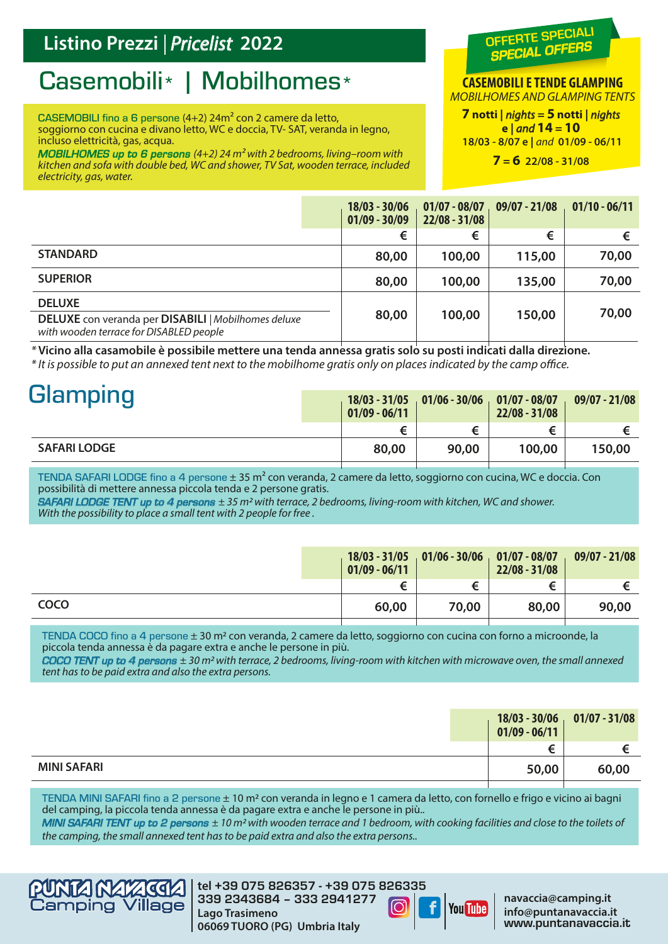### **Listino Prezzi** *| Pricelist* **2022**

# Casemobili\* | Mobilhomes\*

CASEMOBILI fino a 6 persone (4+2) 24m² con 2 camere da letto, soggiorno con cucina e divano letto, WC e doccia, TV-SAT, veranda in legno, incluso elettricità, gas, acqua.

*MOBILHOMES up to 6 persons (4+2) 24 m² with 2 bedrooms, living–room with kitchen and sofa with double bed, WC and shower, TV Sat, wooden terrace, included electricity, gas, water.*

### OFFERTE SPECIALI *SPECIAL OFFERS*

**CASEMOBILI E TENDE GLAMPING** *MOBILHOMES AND GLAMPING TENTS*

**7 notti |** *nights* **= 5 notti |** *nights* **e |** *and* **14 = 10 18/03 - 8/07 e |** *and* **01/09 - 06/11**

**7 = 6 22/08 - 31/08**

|                                                                                                | $18/03 - 30/06$<br>$01/09 - 30/09$ | $01/07 - 08/07$<br>$22/08 - 31/08$ | $09/07 - 21/08$ | $01/10 - 06/11$ |
|------------------------------------------------------------------------------------------------|------------------------------------|------------------------------------|-----------------|-----------------|
|                                                                                                | €                                  | €                                  | €               |                 |
| <b>STANDARD</b>                                                                                | 80,00                              | 100,00                             | 115,00          | 70,00           |
| <b>SUPERIOR</b>                                                                                | 80,00                              | 100,00                             | 135,00          | 70,00           |
| <b>DELUXE</b>                                                                                  |                                    |                                    |                 |                 |
| DELUXE con veranda per DISABILI   Mobilhomes deluxe<br>with wooden terrace for DISABLED people | 80,00                              | 100,00                             | 150,00          | 70,00           |

*\** **Vicino alla casamobile è possibile mettere una tenda annessa gratis solo su posti indicati dalla direzione.**  *\* It is possible to put an annexed tent next to the mobilhome gratis only on places indicated by the camp oce.*

| <b>Glamping</b>     | $01/09 - 06/11$ |       | $18/03 - 31/05$ 01/06 - 30/06 01/07 - 08/07<br>$22/08 - 31/08$ | $09/07 - 21/08$ |
|---------------------|-----------------|-------|----------------------------------------------------------------|-----------------|
|                     | €               |       |                                                                |                 |
| <b>SAFARI LODGE</b> | 80,00           | 90,00 | 100,00                                                         | 150,00          |
|                     |                 |       |                                                                |                 |

TENDA SAFARI LODGE fino a 4 persone  $\pm 35$  m<sup>2</sup> con veranda, 2 camere da letto, soggiorno con cucina, WC e doccia. Con possibilità di mettere annessa piccola tenda e 2 persone gratis.

*SAFARI LODGE TENT up to 4 persons ± 35 m2 with terrace, 2 bedrooms, living-room with kitchen, WC and shower. With the possibility to place a small tent with 2 people for free .*

|             | $01/09 - 06/11$ | $18/03 - 31/05$ 01/06 - 30/06 01/07 - 08/07 | $22/08 - 31/08$ | $09/07 - 21/08$ |
|-------------|-----------------|---------------------------------------------|-----------------|-----------------|
|             | €               |                                             |                 | €               |
| <b>COCO</b> | 60,00           | 70,00                                       | 80,00           | 90,00           |
|             |                 |                                             |                 |                 |

TENDA COCO fino a 4 persone ± 30 m<sup>2</sup> con veranda, 2 camere da letto, soggiorno con cucina con forno a microonde, la piccola tenda annessa è da pagare extra e anche le persone in più.

*COCO TENT up to 4 persons ± 30 m2 with terrace, 2 bedrooms, living-room with kitchen with microwave oven, the small annexed tent has to be paid extra and also the extra persons.*

|                    | $01/09 - 06/11$ | $18/03 - 30/06$ 01/07 - 31/08 |
|--------------------|-----------------|-------------------------------|
|                    | €               |                               |
| <b>MINI SAFARI</b> | 50,00           | 60,00                         |

TENDA MINI SAFARI fino a 2 persone ± 10 m2 con veranda in legno e 1 camera da letto, con fornello e frigo e vicino ai bagni del camping, la piccola tenda annessa è da pagare extra e anche le persone in più..

*MINI SAFARI TENT up to 2 persons ± 10 m2 with wooden terrace and 1 bedroom, with cooking facilities and close to the toilets of the camping, the small annexed tent has to be paid extra and also the extra persons..*



**tel** +39 075 826357 - +39 075 826335 339 2343684 – 333 2941277 **Lago Trasimeno 06069 TUORO (PG) Umbria Italy**



**navaccia@camping.it info@puntanavaccia.it** www.puntanavaccia.it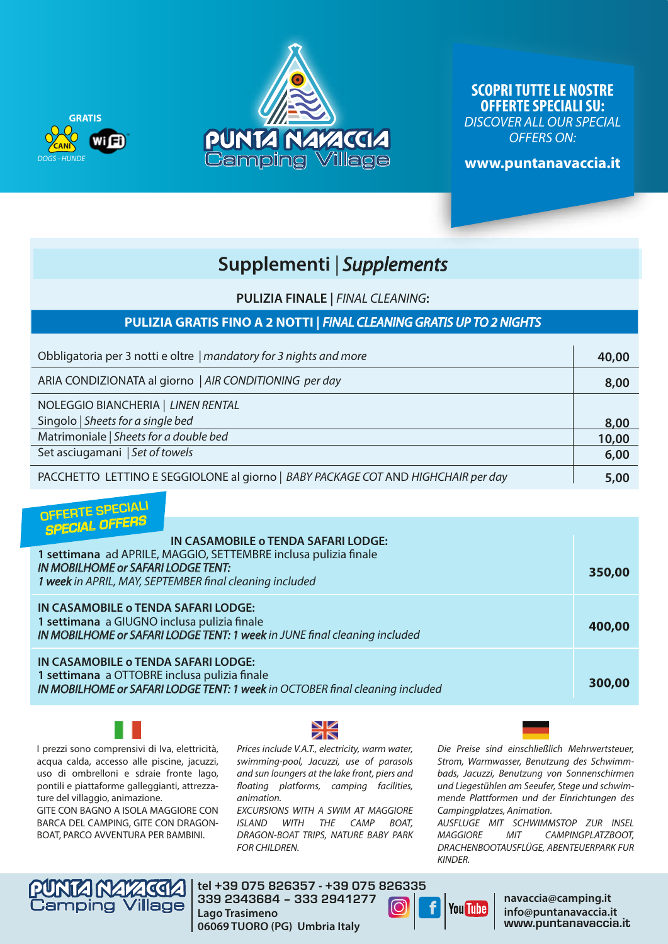



**SCOPRI TUTTE LE NOSTRE OFFERTE SPECIALI SU:** *DISCOVER ALL OUR SPECIAL OFFERS ON:*

**www.puntanavaccia.it** 

### **Supplementi** *| Supplements*

**PULIZIA FINALE |** *FINAL CLEANING***:**

#### **PULIZIA GRATIS FINO A 2 NOTTI |** *FINAL CLEANING GRATIS UP TO 2 NIGHTS*

| Obbligatoria per 3 notti e oltre   mandatory for 3 nights and more                | 40,00 |
|-----------------------------------------------------------------------------------|-------|
| ARIA CONDIZIONATA al giorno   AIR CONDITIONING per day                            | 8,00  |
| NOLEGGIO BIANCHERIA   LINEN RENTAL                                                |       |
| Singolo   Sheets for a single bed                                                 | 8,00  |
| Matrimoniale   Sheets for a double bed                                            | 10,00 |
| Set asciugamani   Set of towels                                                   | 6,00  |
| PACCHETTO LETTINO E SEGGIOLONE al giorno   BABY PACKAGE COT AND HIGHCHAIR per day | 5,00  |

### OFFERTE SPECIALI *SPECIAL OFFERS*

| <b>SPECIAL OFF</b><br>IN CASAMOBILE o TENDA SAFARI LODGE:<br>1 settimana ad APRILE, MAGGIO, SETTEMBRE inclusa pulizia finale<br><b>IN MOBILHOME OF SAFARI LODGE TENT:</b><br>1 week in APRIL, MAY, SEPTEMBER final cleaning included | 350,00 |
|--------------------------------------------------------------------------------------------------------------------------------------------------------------------------------------------------------------------------------------|--------|
| IN CASAMOBILE o TENDA SAFARI LODGE:<br>1 settimana a GIUGNO inclusa pulizia finale<br>IN MOBILHOME or SAFARI LODGE TENT: 1 week in JUNE final cleaning included                                                                      | 400,00 |
| IN CASAMOBILE o TENDA SAFARI LODGE:<br>1 settimana a OTTOBRE inclusa pulizia finale<br>IN MOBILHOME or SAFARI LODGE TENT: 1 week in OCTOBER final cleaning included                                                                  | 300,00 |

I prezzi sono comprensivi di Iva, elettricità, acqua calda, accesso alle piscine, jacuzzi, uso di ombrelloni e sdraie fronte lago, pontili e piattaforme galleggianti, attrezzature del villaggio, animazione.

GITE CON BAGNO A ISOLA MAGGIORE CON BARCA DEL CAMPING, GITE CON DRAGON-BOAT, PARCO AVVENTURA PER BAMBINI.



*Prices include V.A.T., electricity, warm water, swimming-pool, Jacuzzi, use of parasols and sun loungers at the lake front, piers and oating platforms, camping facilities, animation.* 

*EXCURSIONS WITH A SWIM AT MAGGIORE ISLAND WITH THE CAMP BOAT, DRAGON-BOAT TRIPS, NATURE BABY PARK FOR CHILDREN.*

*Die Preise sind einschließlich Mehrwertsteuer, Strom, Warmwasser, Benutzung des Schwimmbads, Jacuzzi, Benutzung von Sonnenschirmen und Liegestühlen am Seeufer, Stege und schwimmende Plattformen und der Einrichtungen des Campingplatzes, Animation.*

*AUSFLUGE MIT SCHWIMMSTOP ZUR INSEL MAGGIORE MIT CAMPINGPLATZBOOT, DRACHENBOOTAUSFLÜGE, ABENTEUERPARK FUR KINDER.*



**tel** +39 075 826357 - +39 075 826335 339 2343684 – 333 2941277 **Lago Trasimeno 06069 TUORO (PG) Umbria Italy**



**navaccia@camping.it info@puntanavaccia.it** www.puntanavaccia.it